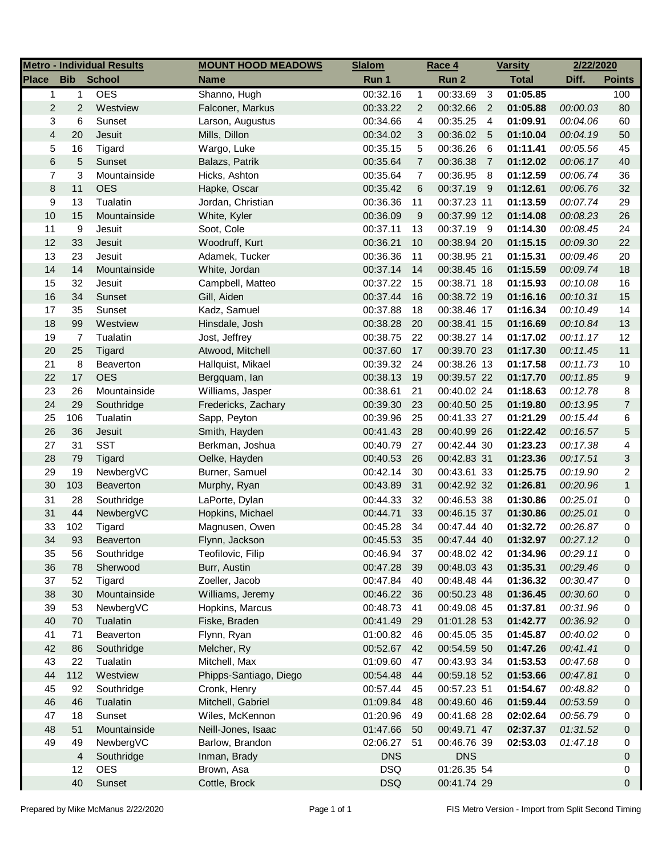|                         |                | <b>Metro - Individual Results</b> | <b>MOUNT HOOD MEADOWS</b> | <b>Slalom</b> |                  | <u>Race 4</u> |                | <b>Varsity</b> | 2/22/2020 |                |
|-------------------------|----------------|-----------------------------------|---------------------------|---------------|------------------|---------------|----------------|----------------|-----------|----------------|
| <b>Place</b>            | <b>Bib</b>     | <b>School</b>                     | <b>Name</b>               | Run 1         |                  | Run 2         |                | <b>Total</b>   | Diff.     | <b>Points</b>  |
| $\mathbf{1}$            | $\mathbf{1}$   | <b>OES</b>                        | Shanno, Hugh              | 00:32.16      | $\mathbf{1}$     | 00:33.69      | $\mathbf{3}$   | 01:05.85       |           | 100            |
| $\overline{\mathbf{c}}$ | $\overline{2}$ | Westview                          | Falconer, Markus          | 00:33.22      | $\overline{2}$   | 00:32.66      | $\overline{2}$ | 01:05.88       | 00:00.03  | 80             |
| 3                       | 6              | Sunset                            | Larson, Augustus          | 00:34.66      | 4                | 00:35.25      | $\overline{4}$ | 01:09.91       | 00:04.06  | 60             |
| $\overline{4}$          | 20             | Jesuit                            | Mills, Dillon             | 00:34.02      | 3                | 00:36.02      | $-5$           | 01:10.04       | 00:04.19  | 50             |
| 5                       | 16             | Tigard                            | Wargo, Luke               | 00:35.15      | 5                | 00:36.26      | 6              | 01:11.41       | 00:05.56  | 45             |
| 6                       | 5              | Sunset                            | Balazs, Patrik            | 00:35.64      | $\overline{7}$   | 00:36.38      | $\overline{7}$ | 01:12.02       | 00:06.17  | 40             |
| 7                       | 3              | Mountainside                      | Hicks, Ashton             | 00:35.64      | $\overline{7}$   | 00:36.95      | 8              | 01:12.59       | 00:06.74  | 36             |
| 8                       | 11             | <b>OES</b>                        | Hapke, Oscar              | 00:35.42      | 6                | 00:37.19 9    |                | 01:12.61       | 00:06.76  | 32             |
| 9                       | 13             | Tualatin                          | Jordan, Christian         | 00:36.36      | 11               | 00:37.23 11   |                | 01:13.59       | 00:07.74  | 29             |
| 10                      | 15             | Mountainside                      | White, Kyler              | 00:36.09      | $\boldsymbol{9}$ | 00:37.99 12   |                | 01:14.08       | 00:08.23  | 26             |
| 11                      | 9              | Jesuit                            | Soot, Cole                | 00:37.11      | 13               | 00:37.19 9    |                | 01:14.30       | 00:08.45  | 24             |
| 12                      | 33             | Jesuit                            | Woodruff, Kurt            | 00:36.21      | 10               | 00:38.94 20   |                | 01:15.15       | 00:09.30  | 22             |
| 13                      | 23             | Jesuit                            | Adamek, Tucker            | 00:36.36      | 11               | 00:38.95 21   |                | 01:15.31       | 00:09.46  | 20             |
| 14                      | 14             | Mountainside                      | White, Jordan             | 00:37.14      | 14               | 00:38.45 16   |                | 01:15.59       | 00:09.74  | 18             |
| 15                      | 32             | Jesuit                            | Campbell, Matteo          | 00:37.22      | 15               | 00:38.71 18   |                | 01:15.93       | 00:10.08  | 16             |
| 16                      | 34             | Sunset                            | Gill, Aiden               | 00:37.44      | 16               | 00:38.72 19   |                | 01:16.16       | 00:10.31  | 15             |
| 17                      | 35             | Sunset                            | Kadz, Samuel              | 00:37.88      | 18               | 00:38.46 17   |                | 01:16.34       | 00:10.49  | 14             |
| 18                      | 99             | Westview                          | Hinsdale, Josh            | 00:38.28      | 20               | 00:38.41 15   |                | 01:16.69       | 00:10.84  | 13             |
| 19                      | $\overline{7}$ | Tualatin                          | Jost, Jeffrey             | 00:38.75      | 22               | 00:38.27 14   |                | 01:17.02       | 00:11.17  | 12             |
| 20                      | 25             | Tigard                            | Atwood, Mitchell          | 00:37.60      | 17               | 00:39.70 23   |                | 01:17.30       | 00:11.45  | 11             |
| 21                      | 8              | Beaverton                         | Hallquist, Mikael         | 00:39.32      | 24               | 00:38.26 13   |                | 01:17.58       | 00:11.73  | $10$           |
| 22                      | 17             | <b>OES</b>                        | Bergquam, lan             | 00:38.13      | 19               | 00:39.57 22   |                | 01:17.70       | 00:11.85  | 9              |
| 23                      | 26             | Mountainside                      | Williams, Jasper          | 00:38.61      | 21               | 00:40.02 24   |                | 01:18.63       | 00:12.78  | 8              |
| 24                      | 29             | Southridge                        | Fredericks, Zachary       | 00:39.30      | 23               | 00:40.50 25   |                | 01:19.80       | 00:13.95  | $\overline{7}$ |
| 25                      | 106            | Tualatin                          | Sapp, Peyton              | 00:39.96      | 25               | 00:41.33 27   |                | 01:21.29       | 00:15.44  | 6              |
| 26                      | 36             | Jesuit                            | Smith, Hayden             | 00:41.43      | 28               | 00:40.99 26   |                | 01:22.42       | 00:16.57  | 5              |
| 27                      | 31             | <b>SST</b>                        | Berkman, Joshua           | 00:40.79      | 27               | 00:42.44 30   |                | 01:23.23       | 00:17.38  | 4              |
| 28                      | 79             | Tigard                            | Oelke, Hayden             | 00:40.53      | 26               | 00:42.83 31   |                | 01:23.36       | 00:17.51  | 3              |
| 29                      | 19             | NewbergVC                         | Burner, Samuel            | 00:42.14      | 30               | 00:43.61 33   |                | 01:25.75       | 00:19.90  | 2              |
| 30                      | 103            | Beaverton                         | Murphy, Ryan              | 00:43.89      | 31               | 00:42.92 32   |                | 01:26.81       | 00:20.96  | $\mathbf{1}$   |
| 31                      | 28             | Southridge                        | LaPorte, Dylan            | 00:44.33      | 32               | 00:46.53 38   |                | 01:30.86       | 00:25.01  | 0              |
| 31                      | 44             | NewbergVC                         | Hopkins, Michael          | 00:44.71      | 33               | 00:46.15 37   |                | 01:30.86       | 00:25.01  | 0              |
| 33                      | 102            | Tigard                            | Magnusen, Owen            | 00:45.28      | 34               | 00:47.44 40   |                | 01:32.72       | 00:26.87  | 0              |
| 34                      | 93             | Beaverton                         | Flynn, Jackson            | 00:45.53      | 35               | 00:47.44 40   |                | 01:32.97       | 00:27.12  | $\Omega$       |
| 35                      | 56             | Southridge                        | Teofilovic, Filip         | 00:46.94      | 37               | 00:48.02 42   |                | 01:34.96       | 00:29.11  | 0              |
| 36                      | 78             | Sherwood                          | Burr, Austin              | 00:47.28      | 39               | 00:48.03 43   |                | 01:35.31       | 00:29.46  | 0              |
| 37                      | 52             | Tigard                            | Zoeller, Jacob            | 00:47.84      | 40               | 00:48.48 44   |                | 01:36.32       | 00:30.47  | 0              |
| 38                      | 30             | Mountainside                      | Williams, Jeremy          | 00:46.22      | 36               | 00:50.23 48   |                | 01:36.45       | 00:30.60  | 0              |
| 39                      | 53             | NewbergVC                         | Hopkins, Marcus           | 00:48.73      | 41               | 00:49.08 45   |                | 01:37.81       | 00:31.96  | 0              |
| 40                      | 70             | Tualatin                          | Fiske, Braden             | 00:41.49      | 29               | 01:01.28 53   |                | 01:42.77       | 00:36.92  | 0              |
| 41                      | 71             | Beaverton                         | Flynn, Ryan               | 01:00.82      | 46               | 00:45.05 35   |                | 01:45.87       | 00:40.02  | 0              |
| 42                      | 86             | Southridge                        | Melcher, Ry               | 00:52.67      | 42               | 00:54.59 50   |                | 01:47.26       | 00:41.41  | 0              |
| 43                      | 22             | Tualatin                          | Mitchell, Max             | 01:09.60      | 47               | 00:43.93 34   |                | 01:53.53       | 00:47.68  | 0              |
| 44                      | 112            | Westview                          | Phipps-Santiago, Diego    | 00:54.48      | 44               | 00:59.18 52   |                | 01:53.66       | 00:47.81  | 0              |
| 45                      | 92             | Southridge                        | Cronk, Henry              | 00:57.44      | 45               | 00:57.23 51   |                | 01:54.67       | 00:48.82  | 0              |
| 46                      | 46             | Tualatin                          | Mitchell, Gabriel         | 01:09.84      | 48               | 00:49.60 46   |                | 01:59.44       | 00:53.59  | 0              |
| 47                      | 18             | Sunset                            | Wiles, McKennon           | 01:20.96      | 49               | 00:41.68 28   |                | 02:02.64       | 00:56.79  | 0              |
| 48                      | 51             | Mountainside                      | Neill-Jones, Isaac        | 01:47.66      | 50               | 00:49.71 47   |                | 02:37.37       | 01:31.52  | 0              |
| 49                      | 49             | NewbergVC                         | Barlow, Brandon           | 02:06.27      | 51               | 00:46.76 39   |                | 02:53.03       | 01:47.18  | 0              |
|                         | 4              | Southridge                        | Inman, Brady              | <b>DNS</b>    |                  | <b>DNS</b>    |                |                |           | 0              |
|                         | 12             | <b>OES</b>                        | Brown, Asa                | <b>DSQ</b>    |                  | 01:26.35 54   |                |                |           | 0              |
|                         | 40             | Sunset                            | Cottle, Brock             | <b>DSQ</b>    |                  | 00:41.74 29   |                |                |           | 0              |
|                         |                |                                   |                           |               |                  |               |                |                |           |                |